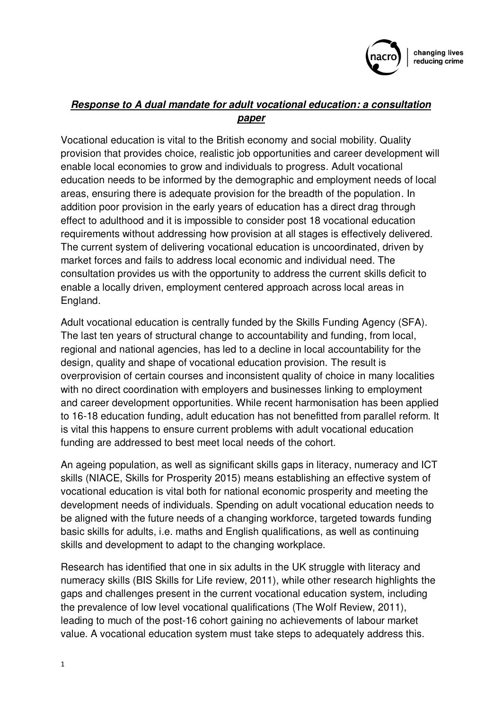

# *Response to A dual mandate for adult vocational education: a consultation paper*

Vocational education is vital to the British economy and social mobility. Quality provision that provides choice, realistic job opportunities and career development will enable local economies to grow and individuals to progress. Adult vocational education needs to be informed by the demographic and employment needs of local areas, ensuring there is adequate provision for the breadth of the population. In addition poor provision in the early years of education has a direct drag through effect to adulthood and it is impossible to consider post 18 vocational education requirements without addressing how provision at all stages is effectively delivered. The current system of delivering vocational education is uncoordinated, driven by market forces and fails to address local economic and individual need. The consultation provides us with the opportunity to address the current skills deficit to enable a locally driven, employment centered approach across local areas in England.

Adult vocational education is centrally funded by the Skills Funding Agency (SFA). The last ten years of structural change to accountability and funding, from local, regional and national agencies, has led to a decline in local accountability for the design, quality and shape of vocational education provision. The result is overprovision of certain courses and inconsistent quality of choice in many localities with no direct coordination with employers and businesses linking to employment and career development opportunities. While recent harmonisation has been applied to 16-18 education funding, adult education has not benefitted from parallel reform. It is vital this happens to ensure current problems with adult vocational education funding are addressed to best meet local needs of the cohort.

An ageing population, as well as significant skills gaps in literacy, numeracy and ICT skills (NIACE, Skills for Prosperity 2015) means establishing an effective system of vocational education is vital both for national economic prosperity and meeting the development needs of individuals. Spending on adult vocational education needs to be aligned with the future needs of a changing workforce, targeted towards funding basic skills for adults, i.e. maths and English qualifications, as well as continuing skills and development to adapt to the changing workplace.

Research has identified that one in six adults in the UK struggle with literacy and numeracy skills (BIS Skills for Life review, 2011), while other research highlights the gaps and challenges present in the current vocational education system, including the prevalence of low level vocational qualifications (The Wolf Review, 2011), leading to much of the post-16 cohort gaining no achievements of labour market value. A vocational education system must take steps to adequately address this.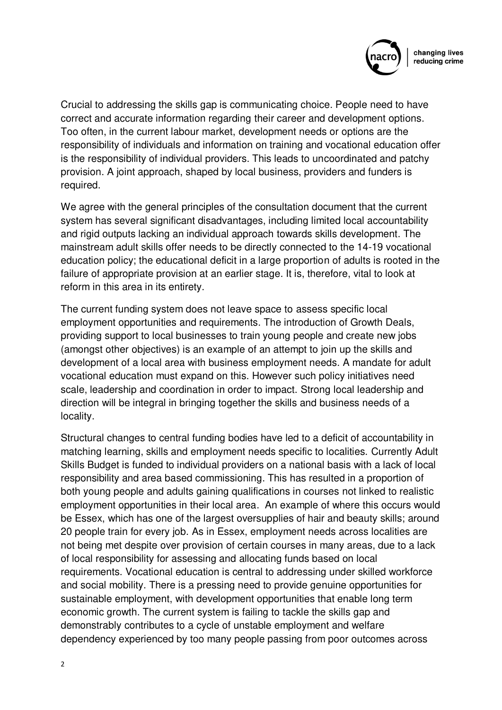

Crucial to addressing the skills gap is communicating choice. People need to have correct and accurate information regarding their career and development options. Too often, in the current labour market, development needs or options are the responsibility of individuals and information on training and vocational education offer is the responsibility of individual providers. This leads to uncoordinated and patchy provision. A joint approach, shaped by local business, providers and funders is required.

We agree with the general principles of the consultation document that the current system has several significant disadvantages, including limited local accountability and rigid outputs lacking an individual approach towards skills development. The mainstream adult skills offer needs to be directly connected to the 14-19 vocational education policy; the educational deficit in a large proportion of adults is rooted in the failure of appropriate provision at an earlier stage. It is, therefore, vital to look at reform in this area in its entirety.

The current funding system does not leave space to assess specific local employment opportunities and requirements. The introduction of Growth Deals, providing support to local businesses to train young people and create new jobs (amongst other objectives) is an example of an attempt to join up the skills and development of a local area with business employment needs. A mandate for adult vocational education must expand on this. However such policy initiatives need scale, leadership and coordination in order to impact. Strong local leadership and direction will be integral in bringing together the skills and business needs of a locality.

Structural changes to central funding bodies have led to a deficit of accountability in matching learning, skills and employment needs specific to localities. Currently Adult Skills Budget is funded to individual providers on a national basis with a lack of local responsibility and area based commissioning. This has resulted in a proportion of both young people and adults gaining qualifications in courses not linked to realistic employment opportunities in their local area. An example of where this occurs would be Essex, which has one of the largest oversupplies of hair and beauty skills; around 20 people train for every job. As in Essex, employment needs across localities are not being met despite over provision of certain courses in many areas, due to a lack of local responsibility for assessing and allocating funds based on local requirements. Vocational education is central to addressing under skilled workforce and social mobility. There is a pressing need to provide genuine opportunities for sustainable employment, with development opportunities that enable long term economic growth. The current system is failing to tackle the skills gap and demonstrably contributes to a cycle of unstable employment and welfare dependency experienced by too many people passing from poor outcomes across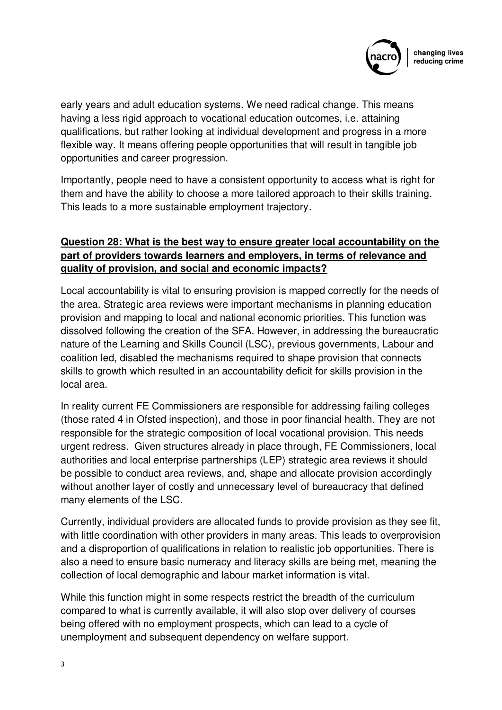

early years and adult education systems. We need radical change. This means having a less rigid approach to vocational education outcomes, i.e. attaining qualifications, but rather looking at individual development and progress in a more flexible way. It means offering people opportunities that will result in tangible job opportunities and career progression.

Importantly, people need to have a consistent opportunity to access what is right for them and have the ability to choose a more tailored approach to their skills training. This leads to a more sustainable employment trajectory.

## **Question 28: What is the best way to ensure greater local accountability on the part of providers towards learners and employers, in terms of relevance and quality of provision, and social and economic impacts?**

Local accountability is vital to ensuring provision is mapped correctly for the needs of the area. Strategic area reviews were important mechanisms in planning education provision and mapping to local and national economic priorities. This function was dissolved following the creation of the SFA. However, in addressing the bureaucratic nature of the Learning and Skills Council (LSC), previous governments, Labour and coalition led, disabled the mechanisms required to shape provision that connects skills to growth which resulted in an accountability deficit for skills provision in the local area.

In reality current FE Commissioners are responsible for addressing failing colleges (those rated 4 in Ofsted inspection), and those in poor financial health. They are not responsible for the strategic composition of local vocational provision. This needs urgent redress. Given structures already in place through, FE Commissioners, local authorities and local enterprise partnerships (LEP) strategic area reviews it should be possible to conduct area reviews, and, shape and allocate provision accordingly without another layer of costly and unnecessary level of bureaucracy that defined many elements of the LSC.

Currently, individual providers are allocated funds to provide provision as they see fit, with little coordination with other providers in many areas. This leads to overprovision and a disproportion of qualifications in relation to realistic job opportunities. There is also a need to ensure basic numeracy and literacy skills are being met, meaning the collection of local demographic and labour market information is vital.

While this function might in some respects restrict the breadth of the curriculum compared to what is currently available, it will also stop over delivery of courses being offered with no employment prospects, which can lead to a cycle of unemployment and subsequent dependency on welfare support.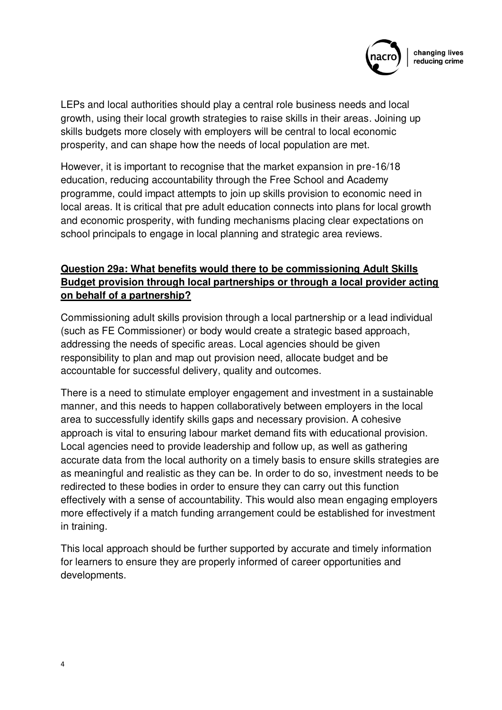

LEPs and local authorities should play a central role business needs and local growth, using their local growth strategies to raise skills in their areas. Joining up skills budgets more closely with employers will be central to local economic prosperity, and can shape how the needs of local population are met.

However, it is important to recognise that the market expansion in pre-16/18 education, reducing accountability through the Free School and Academy programme, could impact attempts to join up skills provision to economic need in local areas. It is critical that pre adult education connects into plans for local growth and economic prosperity, with funding mechanisms placing clear expectations on school principals to engage in local planning and strategic area reviews.

## **Question 29a: What benefits would there to be commissioning Adult Skills Budget provision through local partnerships or through a local provider acting on behalf of a partnership?**

Commissioning adult skills provision through a local partnership or a lead individual (such as FE Commissioner) or body would create a strategic based approach, addressing the needs of specific areas. Local agencies should be given responsibility to plan and map out provision need, allocate budget and be accountable for successful delivery, quality and outcomes.

There is a need to stimulate employer engagement and investment in a sustainable manner, and this needs to happen collaboratively between employers in the local area to successfully identify skills gaps and necessary provision. A cohesive approach is vital to ensuring labour market demand fits with educational provision. Local agencies need to provide leadership and follow up, as well as gathering accurate data from the local authority on a timely basis to ensure skills strategies are as meaningful and realistic as they can be. In order to do so, investment needs to be redirected to these bodies in order to ensure they can carry out this function effectively with a sense of accountability. This would also mean engaging employers more effectively if a match funding arrangement could be established for investment in training.

This local approach should be further supported by accurate and timely information for learners to ensure they are properly informed of career opportunities and developments.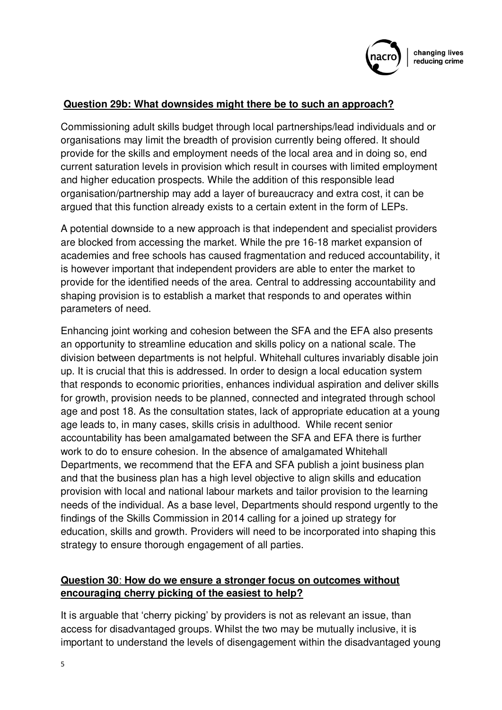

#### **Question 29b: What downsides might there be to such an approach?**

Commissioning adult skills budget through local partnerships/lead individuals and or organisations may limit the breadth of provision currently being offered. It should provide for the skills and employment needs of the local area and in doing so, end current saturation levels in provision which result in courses with limited employment and higher education prospects. While the addition of this responsible lead organisation/partnership may add a layer of bureaucracy and extra cost, it can be argued that this function already exists to a certain extent in the form of LEPs.

A potential downside to a new approach is that independent and specialist providers are blocked from accessing the market. While the pre 16-18 market expansion of academies and free schools has caused fragmentation and reduced accountability, it is however important that independent providers are able to enter the market to provide for the identified needs of the area. Central to addressing accountability and shaping provision is to establish a market that responds to and operates within parameters of need.

Enhancing joint working and cohesion between the SFA and the EFA also presents an opportunity to streamline education and skills policy on a national scale. The division between departments is not helpful. Whitehall cultures invariably disable join up. It is crucial that this is addressed. In order to design a local education system that responds to economic priorities, enhances individual aspiration and deliver skills for growth, provision needs to be planned, connected and integrated through school age and post 18. As the consultation states, lack of appropriate education at a young age leads to, in many cases, skills crisis in adulthood. While recent senior accountability has been amalgamated between the SFA and EFA there is further work to do to ensure cohesion. In the absence of amalgamated Whitehall Departments, we recommend that the EFA and SFA publish a joint business plan and that the business plan has a high level objective to align skills and education provision with local and national labour markets and tailor provision to the learning needs of the individual. As a base level, Departments should respond urgently to the findings of the Skills Commission in 2014 calling for a joined up strategy for education, skills and growth. Providers will need to be incorporated into shaping this strategy to ensure thorough engagement of all parties.

### **Question 30**: **How do we ensure a stronger focus on outcomes without encouraging cherry picking of the easiest to help?**

It is arguable that 'cherry picking' by providers is not as relevant an issue, than access for disadvantaged groups. Whilst the two may be mutually inclusive, it is important to understand the levels of disengagement within the disadvantaged young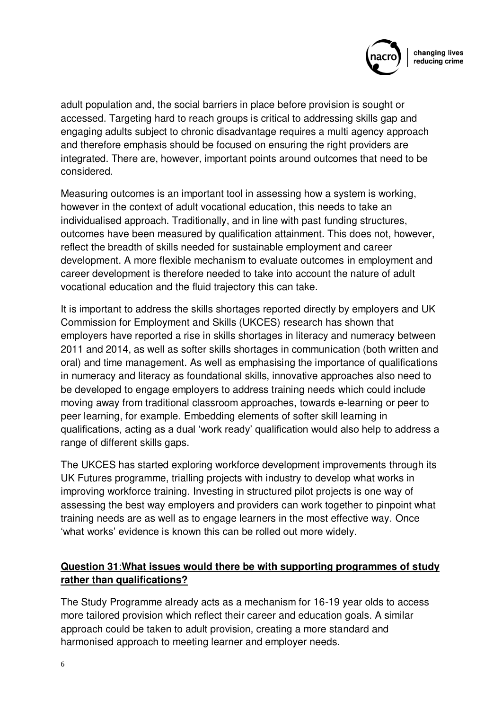

adult population and, the social barriers in place before provision is sought or accessed. Targeting hard to reach groups is critical to addressing skills gap and engaging adults subject to chronic disadvantage requires a multi agency approach and therefore emphasis should be focused on ensuring the right providers are integrated. There are, however, important points around outcomes that need to be considered.

Measuring outcomes is an important tool in assessing how a system is working, however in the context of adult vocational education, this needs to take an individualised approach. Traditionally, and in line with past funding structures, outcomes have been measured by qualification attainment. This does not, however, reflect the breadth of skills needed for sustainable employment and career development. A more flexible mechanism to evaluate outcomes in employment and career development is therefore needed to take into account the nature of adult vocational education and the fluid trajectory this can take.

It is important to address the skills shortages reported directly by employers and UK Commission for Employment and Skills (UKCES) research has shown that employers have reported a rise in skills shortages in literacy and numeracy between 2011 and 2014, as well as softer skills shortages in communication (both written and oral) and time management. As well as emphasising the importance of qualifications in numeracy and literacy as foundational skills, innovative approaches also need to be developed to engage employers to address training needs which could include moving away from traditional classroom approaches, towards e-learning or peer to peer learning, for example. Embedding elements of softer skill learning in qualifications, acting as a dual 'work ready' qualification would also help to address a range of different skills gaps.

The UKCES has started exploring workforce development improvements through its UK Futures programme, trialling projects with industry to develop what works in improving workforce training. Investing in structured pilot projects is one way of assessing the best way employers and providers can work together to pinpoint what training needs are as well as to engage learners in the most effective way. Once 'what works' evidence is known this can be rolled out more widely.

## **Question 31**:**What issues would there be with supporting programmes of study rather than qualifications?**

The Study Programme already acts as a mechanism for 16-19 year olds to access more tailored provision which reflect their career and education goals. A similar approach could be taken to adult provision, creating a more standard and harmonised approach to meeting learner and employer needs.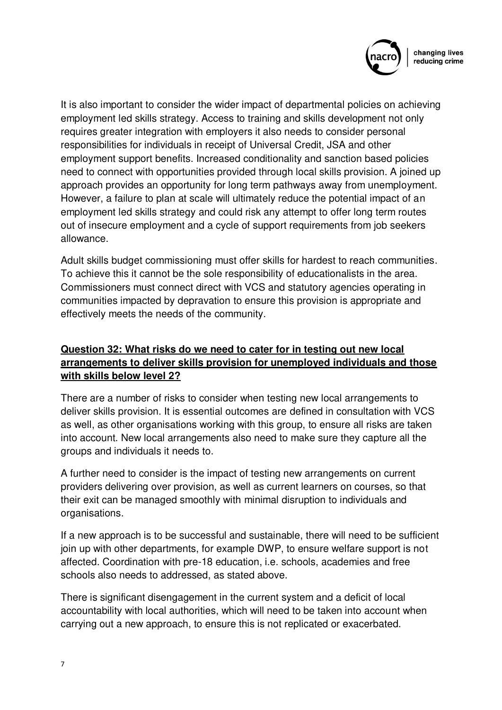

It is also important to consider the wider impact of departmental policies on achieving employment led skills strategy. Access to training and skills development not only requires greater integration with employers it also needs to consider personal responsibilities for individuals in receipt of Universal Credit, JSA and other employment support benefits. Increased conditionality and sanction based policies need to connect with opportunities provided through local skills provision. A joined up approach provides an opportunity for long term pathways away from unemployment. However, a failure to plan at scale will ultimately reduce the potential impact of an employment led skills strategy and could risk any attempt to offer long term routes out of insecure employment and a cycle of support requirements from job seekers allowance.

Adult skills budget commissioning must offer skills for hardest to reach communities. To achieve this it cannot be the sole responsibility of educationalists in the area. Commissioners must connect direct with VCS and statutory agencies operating in communities impacted by depravation to ensure this provision is appropriate and effectively meets the needs of the community.

## **Question 32: What risks do we need to cater for in testing out new local arrangements to deliver skills provision for unemployed individuals and those with skills below level 2?**

There are a number of risks to consider when testing new local arrangements to deliver skills provision. It is essential outcomes are defined in consultation with VCS as well, as other organisations working with this group, to ensure all risks are taken into account. New local arrangements also need to make sure they capture all the groups and individuals it needs to.

A further need to consider is the impact of testing new arrangements on current providers delivering over provision, as well as current learners on courses, so that their exit can be managed smoothly with minimal disruption to individuals and organisations.

If a new approach is to be successful and sustainable, there will need to be sufficient join up with other departments, for example DWP, to ensure welfare support is not affected. Coordination with pre-18 education, i.e. schools, academies and free schools also needs to addressed, as stated above.

There is significant disengagement in the current system and a deficit of local accountability with local authorities, which will need to be taken into account when carrying out a new approach, to ensure this is not replicated or exacerbated.